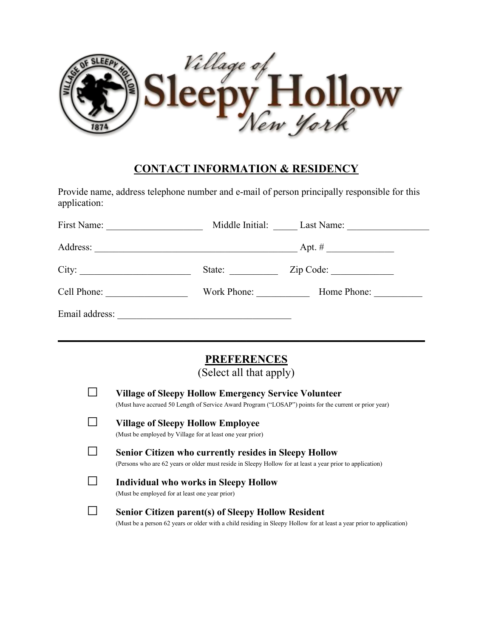

#### **CONTACT INFORMATION & RESIDENCY**

Provide name, address telephone number and e-mail of person principally responsible for this application:

| First Name:    | Middle Initial:                                             | Last Name: $\frac{1}{\sqrt{1-\frac{1}{2}} \cdot \frac{1}{2}}$ |  |
|----------------|-------------------------------------------------------------|---------------------------------------------------------------|--|
| Address:       | <u> 1989 - Andrea Stadt Britain, amerikansk politiker (</u> | Apt. #                                                        |  |
| City:          | State:                                                      | Zip Code:                                                     |  |
| Cell Phone:    | Work Phone:                                                 | Home Phone:                                                   |  |
| Email address: |                                                             |                                                               |  |

# **PREFERENCES**

\_\_\_\_\_\_\_\_\_\_\_\_\_\_\_\_\_\_\_\_\_\_\_\_\_\_\_\_\_\_\_\_\_\_\_\_\_\_\_\_\_\_\_\_\_\_\_\_\_\_\_\_\_\_\_\_\_\_\_\_\_\_\_\_\_\_\_\_\_\_\_\_\_\_\_\_

(Select all that apply)

| <b>Village of Sleepy Hollow Emergency Service Volunteer</b><br>(Must have accrued 50 Length of Service Award Program ("LOSAP") points for the current or prior year)              |
|-----------------------------------------------------------------------------------------------------------------------------------------------------------------------------------|
| <b>Village of Sleepy Hollow Employee</b><br>(Must be employed by Village for at least one year prior)                                                                             |
| <b>Senior Citizen who currently resides in Sleepy Hollow</b><br>(Persons who are 62 years or older must reside in Sleepy Hollow for at least a year prior to application)         |
| Individual who works in Sleepy Hollow<br>(Must be employed for at least one year prior)                                                                                           |
| <b>Senior Citizen parent(s) of Sleepy Hollow Resident</b><br>(Must be a person 62 years or older with a child residing in Sleepy Hollow for at least a year prior to application) |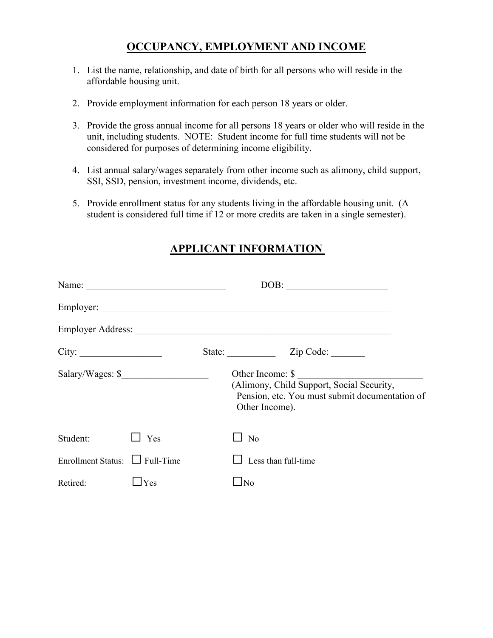# **OCCUPANCY, EMPLOYMENT AND INCOME**

- 1. List the name, relationship, and date of birth for all persons who will reside in the affordable housing unit.
- 2. Provide employment information for each person 18 years or older.
- 3. Provide the gross annual income for all persons 18 years orolder who will reside in the unit, including students. NOTE: Student income for full time students will not be considered for purposes of determining income eligibility.
- 4. List annual salary/wages separately from other income such as alimony, child support, SSI, SSD, pension, investment income, dividends, etc.
- 5. Provide enrollment status for any students living in the affordable housing unit. (A student is considered full time if 12 or more credits are taken in a single semester).

# **APPLICANT INFORMATION**

|                                 | DOB:                                                                                                                              |
|---------------------------------|-----------------------------------------------------------------------------------------------------------------------------------|
|                                 |                                                                                                                                   |
|                                 |                                                                                                                                   |
| City:                           | State: Zip Code:                                                                                                                  |
| Salary/Wages: \$                | Other Income: \$<br>(Alimony, Child Support, Social Security,<br>Pension, etc. You must submit documentation of<br>Other Income). |
| Yes                             | N <sub>o</sub>                                                                                                                    |
| Enrollment Status: El Full-Time | Less than full-time                                                                                                               |
| $\exists$ Yes                   | $\Box$ No                                                                                                                         |
|                                 |                                                                                                                                   |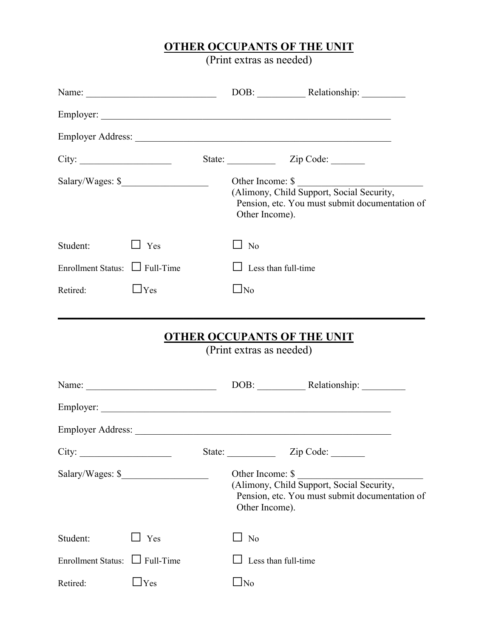#### **OTHER OCCUPANTS OF THE UNIT**

(Print extras as needed)

| City:                               |                  |                  | State: <u>Zip Code:</u>                                                                                                                |  |
|-------------------------------------|------------------|------------------|----------------------------------------------------------------------------------------------------------------------------------------|--|
|                                     | Salary/Wages: \$ |                  | Other Income: \$<br>(Alimony, Child Support, Social Security,<br>Pension, etc. You must submit documentation of<br>Other Income).      |  |
| Student:                            | $\Box$ Yes       | N <sub>o</sub>   |                                                                                                                                        |  |
| Enrollment Status: $\Box$ Full-Time |                  | $\Box$           | Less than full-time                                                                                                                    |  |
| Retired:                            | $\Box$ Yes       | $\Box$ No        |                                                                                                                                        |  |
|                                     |                  |                  |                                                                                                                                        |  |
|                                     |                  |                  |                                                                                                                                        |  |
|                                     |                  |                  |                                                                                                                                        |  |
| City:                               |                  | State:           | Zip Code:                                                                                                                              |  |
|                                     | Salary/Wages: \$ | Other Income: \$ | Cure income. <b>S</b><br>(Alimony, Child Support, Social Security,<br>Pension, etc. You must submit documentation of<br>Other Income). |  |
| Student:                            | Yes              | No               |                                                                                                                                        |  |
| Enrollment Status: $\Box$ Full-Time |                  |                  | Less than full-time                                                                                                                    |  |
| Retired:                            | $\Box$ Yes       | $\Box$ No        |                                                                                                                                        |  |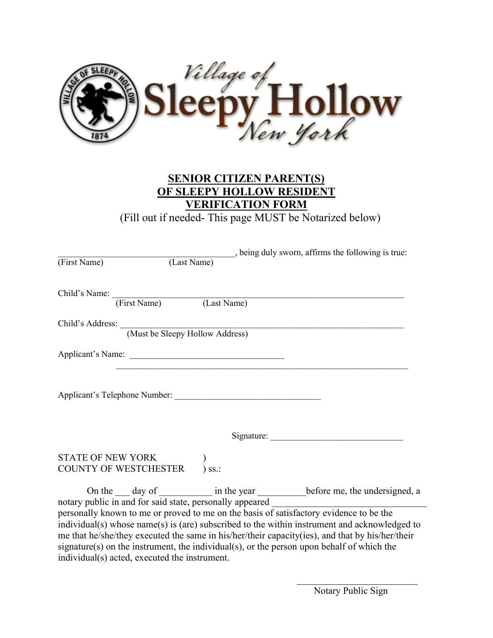

# **SENIOR CITIZEN PARENT(S) OF SLEEPY HOLLOW RESIDENT VERIFICATION FORM**

(Fill out if needed- This page MUST be Notarized below)

|                                                          | being duly sworn, affirms the following is true:                                                                                                                                                                                                                                                                                                                                       |  |
|----------------------------------------------------------|----------------------------------------------------------------------------------------------------------------------------------------------------------------------------------------------------------------------------------------------------------------------------------------------------------------------------------------------------------------------------------------|--|
| (Last Name)<br>(First Name)                              |                                                                                                                                                                                                                                                                                                                                                                                        |  |
|                                                          |                                                                                                                                                                                                                                                                                                                                                                                        |  |
| Child's Name: (First Name) (Last Name)                   |                                                                                                                                                                                                                                                                                                                                                                                        |  |
|                                                          |                                                                                                                                                                                                                                                                                                                                                                                        |  |
|                                                          | Child's Address: (Must be Sleepy Hollow Address)                                                                                                                                                                                                                                                                                                                                       |  |
|                                                          |                                                                                                                                                                                                                                                                                                                                                                                        |  |
| Applicant's Telephone Number:                            | Signature: New York Signature:                                                                                                                                                                                                                                                                                                                                                         |  |
|                                                          |                                                                                                                                                                                                                                                                                                                                                                                        |  |
| STATE OF NEW YORK                                        |                                                                                                                                                                                                                                                                                                                                                                                        |  |
| COUNTY OF WESTCHESTER                                    | $\sum$ SS.:                                                                                                                                                                                                                                                                                                                                                                            |  |
| notary public in and for said state, personally appeared | On the ___ day of ____________ in the year ___________ before me, the undersigned, a                                                                                                                                                                                                                                                                                                   |  |
| individual(s) acted, executed the instrument.            | personally known to me or proved to me on the basis of satisfactory evidence to be the<br>individual(s) whose name(s) is (are) subscribed to the within instrument and acknowledged to<br>me that he/she/they executed the same in his/her/their capacity(ies), and that by his/her/their<br>signature(s) on the instrument, the individual(s), or the person upon behalf of which the |  |

 $\mathcal{L}_\text{max}$  , we are the set of the set of the set of the set of the set of the set of the set of the set of the set of the set of the set of the set of the set of the set of the set of the set of the set of the set of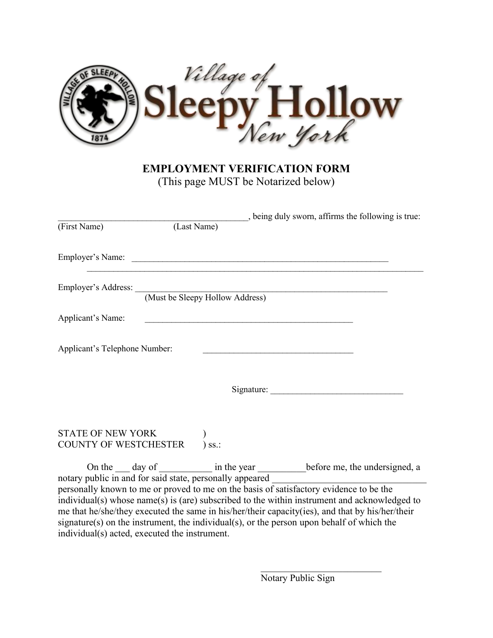

#### **EMPLOYMENT VERIFICATION FORM**

(This page MUST be Notarized below)

|                                            |                                                                   | being duly sworn, affirms the following is true:                                                                                                                                                                                                                                                                                                                                       |
|--------------------------------------------|-------------------------------------------------------------------|----------------------------------------------------------------------------------------------------------------------------------------------------------------------------------------------------------------------------------------------------------------------------------------------------------------------------------------------------------------------------------------|
| (First Name)                               | (Last Name)                                                       |                                                                                                                                                                                                                                                                                                                                                                                        |
|                                            |                                                                   |                                                                                                                                                                                                                                                                                                                                                                                        |
|                                            | Employer's Address: <u>(Must be Sleepy Hollow Address)</u>        |                                                                                                                                                                                                                                                                                                                                                                                        |
| Applicant's Name:                          | <u> 1989 - Johann Barbara, margaret eta idazlearia (h. 1989).</u> |                                                                                                                                                                                                                                                                                                                                                                                        |
| Applicant's Telephone Number:              |                                                                   |                                                                                                                                                                                                                                                                                                                                                                                        |
|                                            |                                                                   | Signature:                                                                                                                                                                                                                                                                                                                                                                             |
| STATE OF NEW YORK<br>COUNTY OF WESTCHESTER | $\sum$ ss.:                                                       |                                                                                                                                                                                                                                                                                                                                                                                        |
|                                            |                                                                   | On the ___ day of ____________ in the year ___________ before me, the undersigned, a                                                                                                                                                                                                                                                                                                   |
|                                            |                                                                   | personally known to me or proved to me on the basis of satisfactory evidence to be the<br>individual(s) whose name(s) is (are) subscribed to the within instrument and acknowledged to<br>me that he/she/they executed the same in his/her/their capacity(ies), and that by his/her/their<br>signature(s) on the instrument, the individual(s), or the person upon behalf of which the |

individual(s) acted, executed the instrument.

Notary Public Sign